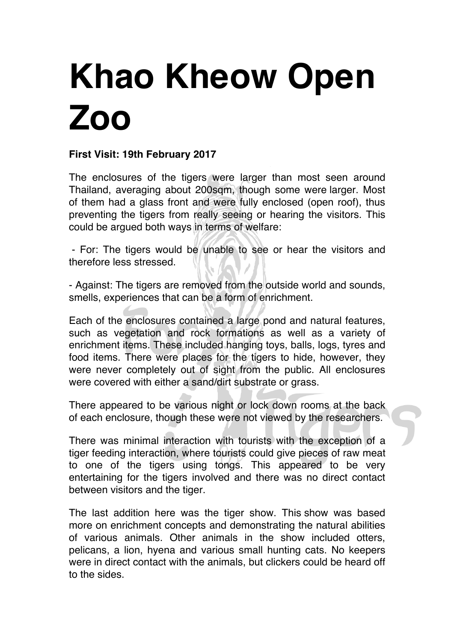## **Khao Kheow Open Zoo**

## **First Visit: 19th February 2017**

The enclosures of the tigers were larger than most seen around Thailand, averaging about 200sqm, though some were larger. Most of them had a glass front and were fully enclosed (open roof), thus preventing the tigers from really seeing or hearing the visitors. This could be argued both ways in terms of welfare:

- For: The tigers would be unable to see or hear the visitors and therefore less stressed.

- Against: The tigers are removed from the outside world and sounds, smells, experiences that can be a form of enrichment.

Each of the enclosures contained a large pond and natural features, such as vegetation and rock formations as well as a variety of enrichment items. These included hanging toys, balls, logs, tyres and food items. There were places for the tigers to hide, however, they were never completely out of sight from the public. All enclosures were covered with either a sand/dirt substrate or grass.

There appeared to be various night or lock down rooms at the back of each enclosure, though these were not viewed by the researchers.

There was minimal interaction with tourists with the exception of a tiger feeding interaction, where tourists could give pieces of raw meat to one of the tigers using tongs. This appeared to be very entertaining for the tigers involved and there was no direct contact between visitors and the tiger.

The last addition here was the tiger show. This show was based more on enrichment concepts and demonstrating the natural abilities of various animals. Other animals in the show included otters, pelicans, a lion, hyena and various small hunting cats. No keepers were in direct contact with the animals, but clickers could be heard off to the sides.